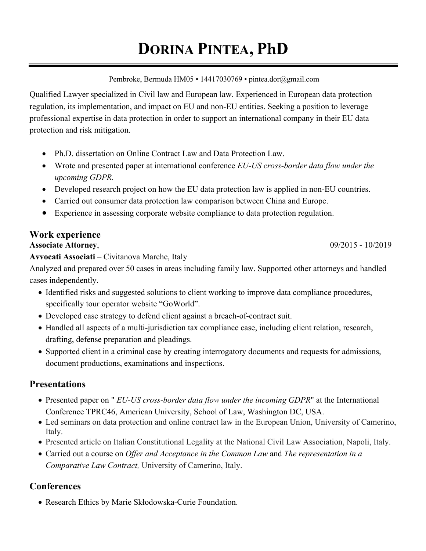# **DORINA PINTEA, PhD**

Pembroke, Bermuda HM05 • 14417030769 • pintea.dor@gmail.com

Qualified Lawyer specialized in Civil law and European law. Experienced in European data protection regulation, its implementation, and impact on EU and non-EU entities. Seeking a position to leverage professional expertise in data protection in order to support an international company in their EU data protection and risk mitigation.

- Ph.D. dissertation on Online Contract Law and Data Protection Law.
- Wrote and presented paper at international conference *EU-US cross-border data flow under the upcoming GDPR.*
- Developed research project on how the EU data protection law is applied in non-EU countries.
- Carried out consumer data protection law comparison between China and Europe.
- Experience in assessing corporate website compliance to data protection regulation.

# **Work experience**

**Associate Attorney**, 09/2015 - 10/2019

**Avvocati Associati** – Civitanova Marche, Italy

Analyzed and prepared over 50 cases in areas including family law. Supported other attorneys and handled cases independently.

- Identified risks and suggested solutions to client working to improve data compliance procedures, specifically tour operator website "GoWorld".
- Developed case strategy to defend client against a breach-of-contract suit.
- Handled all aspects of a multi-jurisdiction tax compliance case, including client relation, research, drafting, defense preparation and pleadings.
- Supported client in a criminal case by creating interrogatory documents and requests for admissions, document productions, examinations and inspections.

# **Presentations**

- Presented paper on " *EU-US cross-border data flow under the incoming GDPR*" at the International Conference TPRC46, American University, School of Law, Washington DC, USA.
- Led seminars on data protection and online contract law in the European Union, University of Camerino, Italy.
- Presented article on Italian Constitutional Legality at the National Civil Law Association, Napoli, Italy.
- Carried out a course on *Offer and Acceptance in the Common Law* and *The representation in a Comparative Law Contract,* University of Camerino, Italy.

# **Conferences**

• Research Ethics by Marie Skłodowska-Curie Foundation.